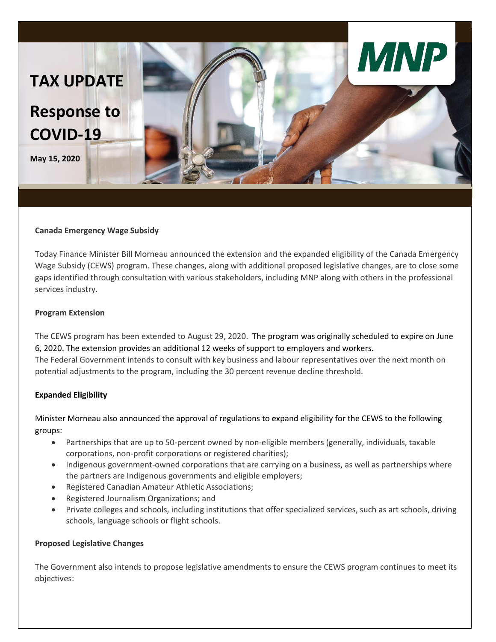

#### **Canada Emergency Wage Subsidy**

Today Finance Minister Bill Morneau announced the extension and the expanded eligibility of the Canada Emergency Wage Subsidy (CEWS) program. These changes, along with additional proposed legislative changes, are to close some gaps identified through consultation with various stakeholders, including MNP along with others in the professional services industry.

### **Program Extension**

The CEWS program has been extended to August 29, 2020. The program was originally scheduled to expire on June 6, 2020. The extension provides an additional 12 weeks of support to employers and workers. The Federal Government intends to consult with key business and labour representatives over the next month on potential adjustments to the program, including the 30 percent revenue decline threshold.

### **Expanded Eligibility**

Minister Morneau also announced the approval of regulations to expand eligibility for the CEWS to the following groups:

- Partnerships that are up to 50-percent owned by non-eligible members (generally, individuals, taxable corporations, non-profit corporations or registered charities);
- Indigenous government-owned corporations that are carrying on a business, as well as partnerships where the partners are Indigenous governments and eligible employers;
- Registered Canadian Amateur Athletic Associations;
- Registered Journalism Organizations; and
- Private colleges and schools, including institutions that offer specialized services, such as art schools, driving schools, language schools or flight schools.

### **Proposed Legislative Changes**

The Government also intends to propose legislative amendments to ensure the CEWS program continues to meet its objectives: